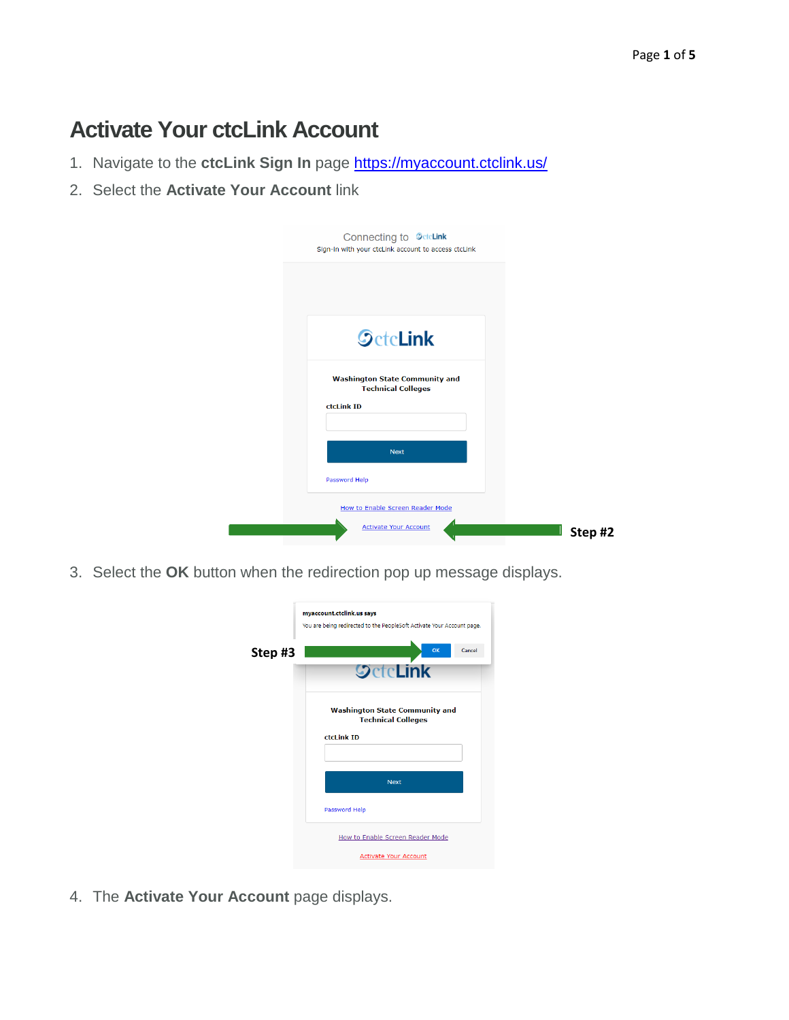## **Activate Your ctcLink Account**

- 1. Navigate to the **ctcLink Sign In** page<https://myaccount.ctclink.us/>
- 2. Select the **Activate Your Account** link

| Connecting to <b>SetcLink</b><br>Sign-in with your ctcLink account to access ctcLink |         |
|--------------------------------------------------------------------------------------|---------|
|                                                                                      |         |
| <b>SctcLink</b>                                                                      |         |
| <b>Washington State Community and</b><br><b>Technical Colleges</b><br>ctcLink ID     |         |
| <b>Next</b><br>Password Help                                                         |         |
| How to Enable Screen Reader Mode<br><b>Activate Your Account</b>                     | Step #2 |

3. Select the **OK** button when the redirection pop up message displays.

|         | myaccount.ctclink.us says<br>You are being redirected to the PeopleSoft Activate Your Account page. |
|---------|-----------------------------------------------------------------------------------------------------|
| Step #3 | Cancel<br>OK<br><b>SctcLink</b>                                                                     |
|         | <b>Washington State Community and</b><br><b>Technical Colleges</b><br>ctcLink ID                    |
|         |                                                                                                     |
|         | <b>Next</b><br>Password Help                                                                        |
|         | How to Enable Screen Reader Mode<br><b>Activate Your Account</b>                                    |

4. The **Activate Your Account** page displays.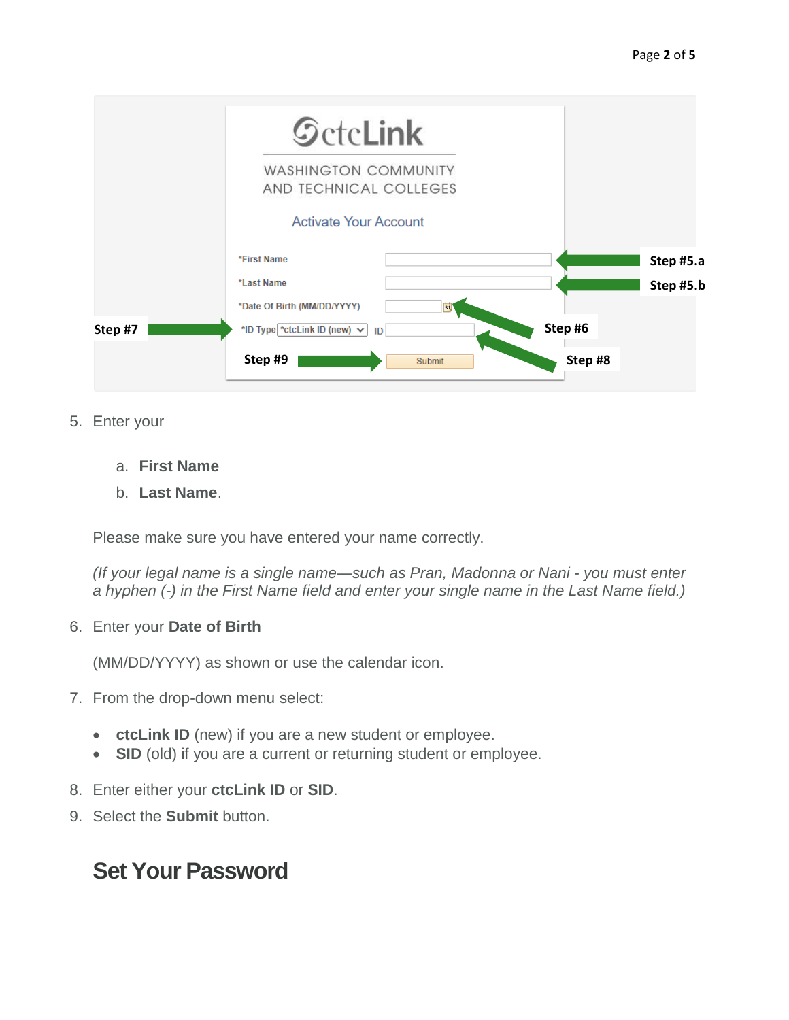|         | <b>SctcLink</b>                                       |           |
|---------|-------------------------------------------------------|-----------|
|         | <b>WASHINGTON COMMUNITY</b><br>AND TECHNICAL COLLEGES |           |
|         | <b>Activate Your Account</b>                          |           |
|         | *First Name                                           | Step #5.a |
|         | *Last Name                                            | Step #5.b |
|         | *Date Of Birth (MM/DD/YYYY)<br>B1                     |           |
| Step #7 | *ID Type *ctcLink ID (new) $\vee$<br>ID               | Step#6    |
|         | Step#9<br>Submit                                      | Step #8   |

- 5. Enter your
	- a. **First Name**
	- b. **Last Name**.

Please make sure you have entered your name correctly.

*(If your legal name is a single name—such as Pran, Madonna or Nani - you must enter a hyphen (-) in the First Name field and enter your single name in the Last Name field.)*

6. Enter your **Date of Birth**

(MM/DD/YYYY) as shown or use the calendar icon.

- 7. From the drop-down menu select:
	- **ctcLink ID** (new) if you are a new student or employee.
	- **SID** (old) if you are a current or returning student or employee.
- 8. Enter either your **ctcLink ID** or **SID**.
- 9. Select the **Submit** button.

## **Set Your Password**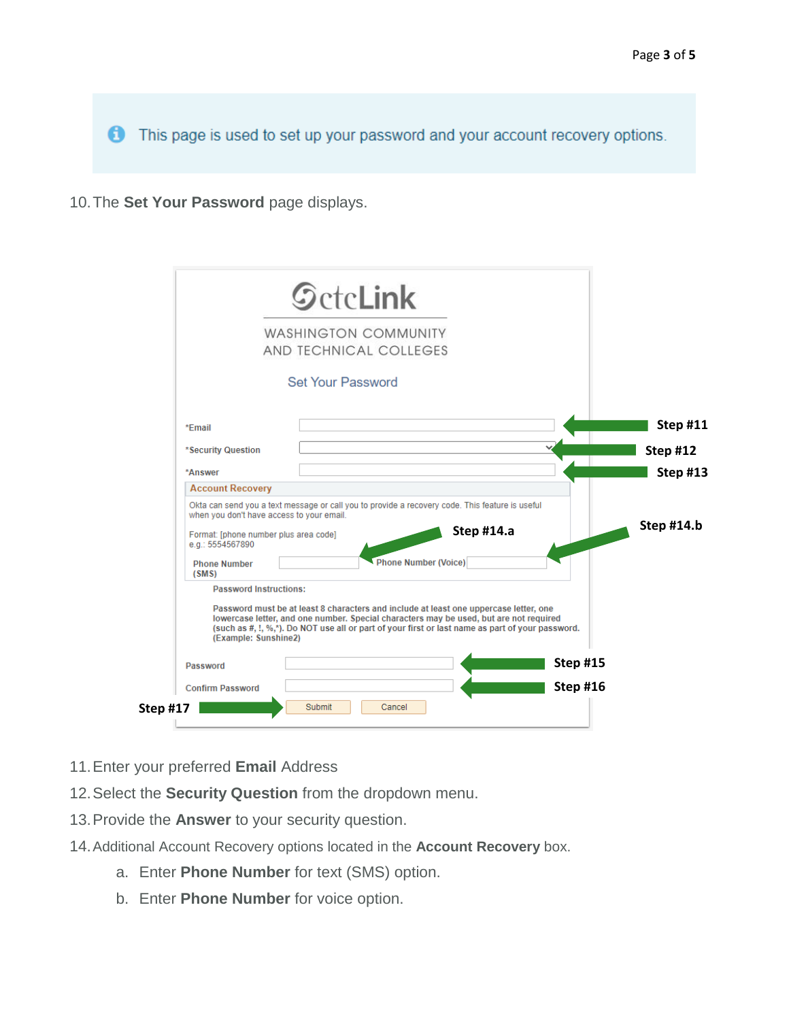This page is used to set up your password and your account recovery options.

10.The **Set Your Password** page displays.

|                                                                                    | <b>WASHINGTON COMMUNITY</b>                                                                                                                                                                                                                                                         |                 |
|------------------------------------------------------------------------------------|-------------------------------------------------------------------------------------------------------------------------------------------------------------------------------------------------------------------------------------------------------------------------------------|-----------------|
|                                                                                    | AND TECHNICAL COLLEGES                                                                                                                                                                                                                                                              |                 |
|                                                                                    | <b>Set Your Password</b>                                                                                                                                                                                                                                                            |                 |
| *Fmail                                                                             |                                                                                                                                                                                                                                                                                     | <b>Step #11</b> |
| *Security Question                                                                 |                                                                                                                                                                                                                                                                                     | Step #12        |
| *Answer                                                                            |                                                                                                                                                                                                                                                                                     | <b>Step #13</b> |
| <b>Account Recovery</b>                                                            |                                                                                                                                                                                                                                                                                     |                 |
| when you don't have access to your email.<br>Format: [phone number plus area code] | Okta can send you a text message or call you to provide a recovery code. This feature is useful<br>Step #14.a                                                                                                                                                                       | Step $#14.b$    |
| e.g.: 5554567890<br><b>Phone Number</b><br>(SMS)                                   | <b>Phone Number (Voice)</b>                                                                                                                                                                                                                                                         |                 |
| <b>Password Instructions:</b><br>(Example: Sunshine2)                              | Password must be at least 8 characters and include at least one uppercase letter, one<br>lowercase letter, and one number. Special characters may be used, but are not required<br>(such as #, !, %,*). Do NOT use all or part of your first or last name as part of your password. |                 |
| Password                                                                           | <b>Step #15</b>                                                                                                                                                                                                                                                                     |                 |
|                                                                                    | Step #16                                                                                                                                                                                                                                                                            |                 |

- 11.Enter your preferred **Email** Address
- 12.Select the **Security Question** from the dropdown menu.
- 13.Provide the **Answer** to your security question.
- 14.Additional Account Recovery options located in the **Account Recovery** box.
	- a. Enter **Phone Number** for text (SMS) option.
	- b. Enter **Phone Number** for voice option.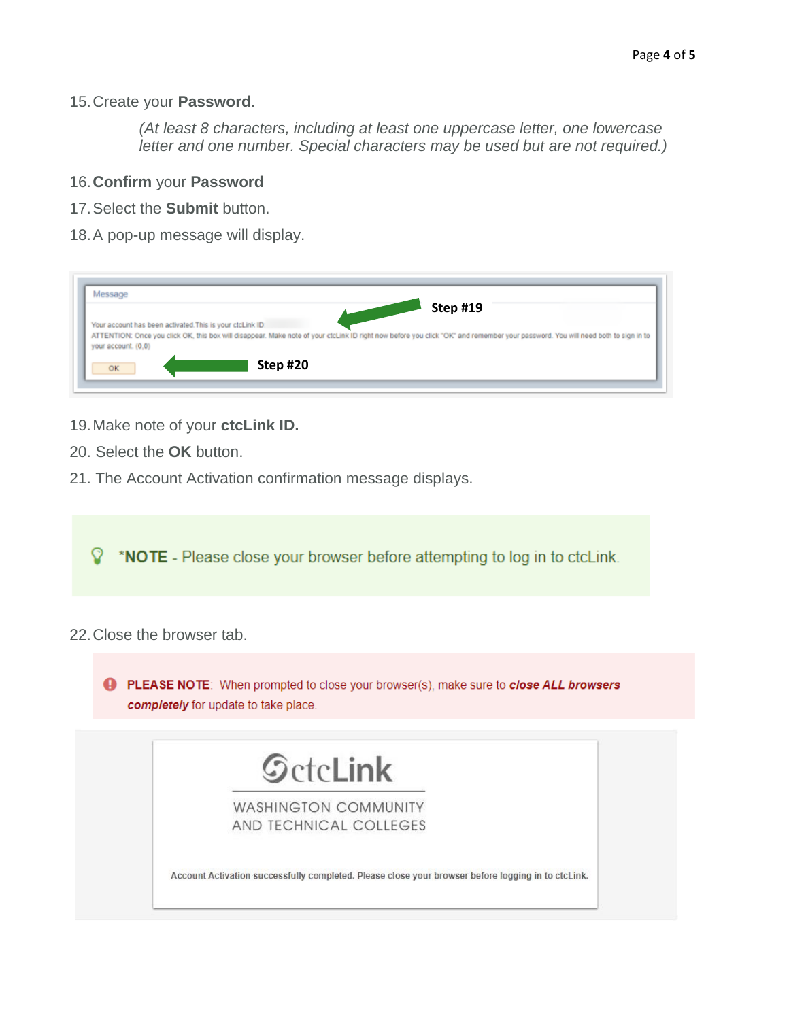15.Create your **Password**.

*(At least 8 characters, including at least one uppercase letter, one lowercase letter and one number. Special characters may be used but are not required.)*

- 16.**Confirm** your **Password**
- 17.Select the **Submit** button.
- 18.A pop-up message will display.

| Message<br><b>Step #19</b>                                                                                                                                                                                                                                           |  |
|----------------------------------------------------------------------------------------------------------------------------------------------------------------------------------------------------------------------------------------------------------------------|--|
| Your account has been activated. This is your ctcLink ID:<br>ATTENTION: Once you click OK, this box will disappear. Make note of your ctcLink ID right now before you click "OK" and remember your password. You will need both to sign in to<br>your account. (0,0) |  |
| Step #20<br>OK                                                                                                                                                                                                                                                       |  |

- 19.Make note of your **ctcLink ID.**
- 20. Select the **OK** button.
- 21. The Account Activation confirmation message displays.

**V** \*NOTE - Please close your browser before attempting to log in to ctcLink.

22.Close the browser tab.

PLEASE NOTE: When prompted to close your browser(s), make sure to close ALL browsers completely for update to take place.

| <b>WASHINGTON COMMUNITY</b> |  |
|-----------------------------|--|
| AND TECHNICAL COLLEGES      |  |